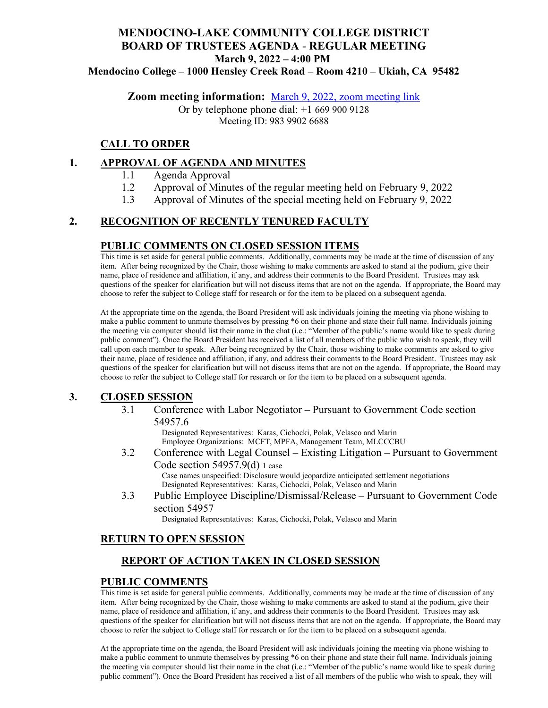# **MENDOCINO-LAKE COMMUNITY COLLEGE DISTRICT BOARD OF TRUSTEES AGENDA** - **REGULAR MEETING March 9, 2022 – 4:00 PM**

**Mendocino College – 1000 Hensley Creek Road – Room 4210 – Ukiah, CA 95482**

**Zoom meeting information:** March 9, 2022, [zoom meeting link](https://mendocino-edu.zoom.us/j/98399026688) 

Or by telephone phone dial: +1 669 900 9128 Meeting ID: 983 9902 6688

### **CALL TO ORDER**

#### **1. APPROVAL OF AGENDA AND MINUTES**

- 1.1 Agenda Approval
- 1.2 Approval of Minutes of the regular meeting held on February 9, 2022
- 1.3 Approval of Minutes of the special meeting held on February 9, 2022

# **2. RECOGNITION OF RECENTLY TENURED FACULTY**

#### **PUBLIC COMMENTS ON CLOSED SESSION ITEMS**

This time is set aside for general public comments. Additionally, comments may be made at the time of discussion of any item. After being recognized by the Chair, those wishing to make comments are asked to stand at the podium, give their name, place of residence and affiliation, if any, and address their comments to the Board President. Trustees may ask questions of the speaker for clarification but will not discuss items that are not on the agenda. If appropriate, the Board may choose to refer the subject to College staff for research or for the item to be placed on a subsequent agenda.

At the appropriate time on the agenda, the Board President will ask individuals joining the meeting via phone wishing to make a public comment to unmute themselves by pressing \*6 on their phone and state their full name. Individuals joining the meeting via computer should list their name in the chat (i.e.: "Member of the public's name would like to speak during public comment"). Once the Board President has received a list of all members of the public who wish to speak, they will call upon each member to speak. After being recognized by the Chair, those wishing to make comments are asked to give their name, place of residence and affiliation, if any, and address their comments to the Board President. Trustees may ask questions of the speaker for clarification but will not discuss items that are not on the agenda. If appropriate, the Board may choose to refer the subject to College staff for research or for the item to be placed on a subsequent agenda.

#### **3. CLOSED SESSION**

3.1 Conference with Labor Negotiator – Pursuant to Government Code section 54957.6

> Designated Representatives: Karas, Cichocki, Polak, Velasco and Marin Employee Organizations: MCFT, MPFA, Management Team, MLCCCBU

- 3.2 Conference with Legal Counsel Existing Litigation Pursuant to Government Code section 54957.9(d) 1 case Case names unspecified: Disclosure would jeopardize anticipated settlement negotiations
- Designated Representatives: Karas, Cichocki, Polak, Velasco and Marin 3.3 Public Employee Discipline/Dismissal/Release – Pursuant to Government Code section 54957

Designated Representatives: Karas, Cichocki, Polak, Velasco and Marin

# **RETURN TO OPEN SESSION**

# **REPORT OF ACTION TAKEN IN CLOSED SESSION**

#### **PUBLIC COMMENTS**

This time is set aside for general public comments. Additionally, comments may be made at the time of discussion of any item. After being recognized by the Chair, those wishing to make comments are asked to stand at the podium, give their name, place of residence and affiliation, if any, and address their comments to the Board President. Trustees may ask questions of the speaker for clarification but will not discuss items that are not on the agenda. If appropriate, the Board may choose to refer the subject to College staff for research or for the item to be placed on a subsequent agenda.

At the appropriate time on the agenda, the Board President will ask individuals joining the meeting via phone wishing to make a public comment to unmute themselves by pressing \*6 on their phone and state their full name. Individuals joining the meeting via computer should list their name in the chat (i.e.: "Member of the public's name would like to speak during public comment"). Once the Board President has received a list of all members of the public who wish to speak, they will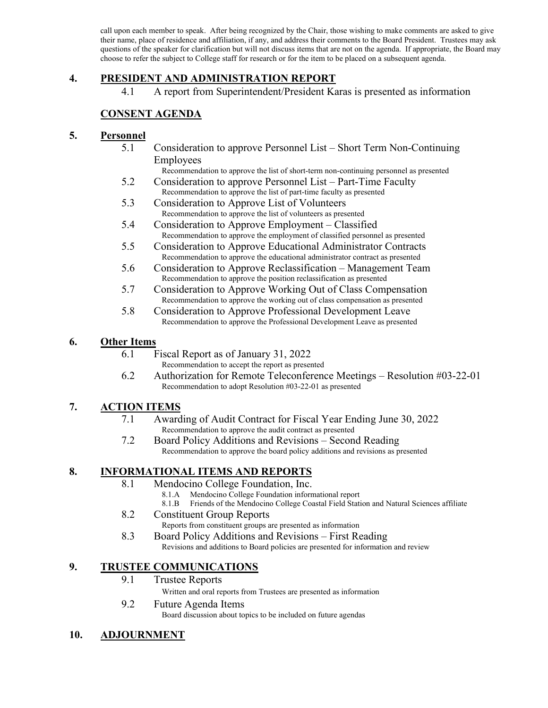call upon each member to speak. After being recognized by the Chair, those wishing to make comments are asked to give their name, place of residence and affiliation, if any, and address their comments to the Board President. Trustees may ask questions of the speaker for clarification but will not discuss items that are not on the agenda. If appropriate, the Board may choose to refer the subject to College staff for research or for the item to be placed on a subsequent agenda.

### **4. PRESIDENT AND ADMINISTRATION REPORT**

4.1 A report from Superintendent/President Karas is presented as information

# **CONSENT AGENDA**

#### **5. Personnel**

5.1 Consideration to approve Personnel List – Short Term Non-Continuing Employees

Recommendation to approve the list of short-term non-continuing personnel as presented

- 5.2 Consideration to approve Personnel List Part-Time Faculty Recommendation to approve the list of part-time faculty as presented
- 5.3 Consideration to Approve List of Volunteers Recommendation to approve the list of volunteers as presented
- 5.4 Consideration to Approve Employment Classified Recommendation to approve the employment of classified personnel as presented
- 5.5 Consideration to Approve Educational Administrator Contracts Recommendation to approve the educational administrator contract as presented
- 5.6 Consideration to Approve Reclassification Management Team Recommendation to approve the position reclassification as presented
- 5.7 Consideration to Approve Working Out of Class Compensation Recommendation to approve the working out of class compensation as presented
- 5.8 Consideration to Approve Professional Development Leave Recommendation to approve the Professional Development Leave as presented

### **6. Other Items**

- 6.1 Fiscal Report as of January 31, 2022
	- Recommendation to accept the report as presented
- 6.2 Authorization for Remote Teleconference Meetings Resolution #03-22-01 Recommendation to adopt Resolution #03-22-01 as presented

# **7. ACTION ITEMS**

- 7.1 Awarding of Audit Contract for Fiscal Year Ending June 30, 2022 Recommendation to approve the audit contract as presented
- 7.2 Board Policy Additions and Revisions Second Reading Recommendation to approve the board policy additions and revisions as presented

# **8. INFORMATIONAL ITEMS AND REPORTS**

- 8.1 Mendocino College Foundation, Inc.
	- 8.1.A Mendocino College Foundation informational report
	- 8.1.B Friends of the Mendocino College Coastal Field Station and Natural Sciences affiliate
- 8.2 Constituent Group Reports
	- Reports from constituent groups are presented as information
- 8.3 Board Policy Additions and Revisions First Reading Revisions and additions to Board policies are presented for information and review

# **9. TRUSTEE COMMUNICATIONS**

9.1 Trustee Reports

Written and oral reports from Trustees are presented as information

9.2 Future Agenda Items Board discussion about topics to be included on future agendas

# **10. ADJOURNMENT**